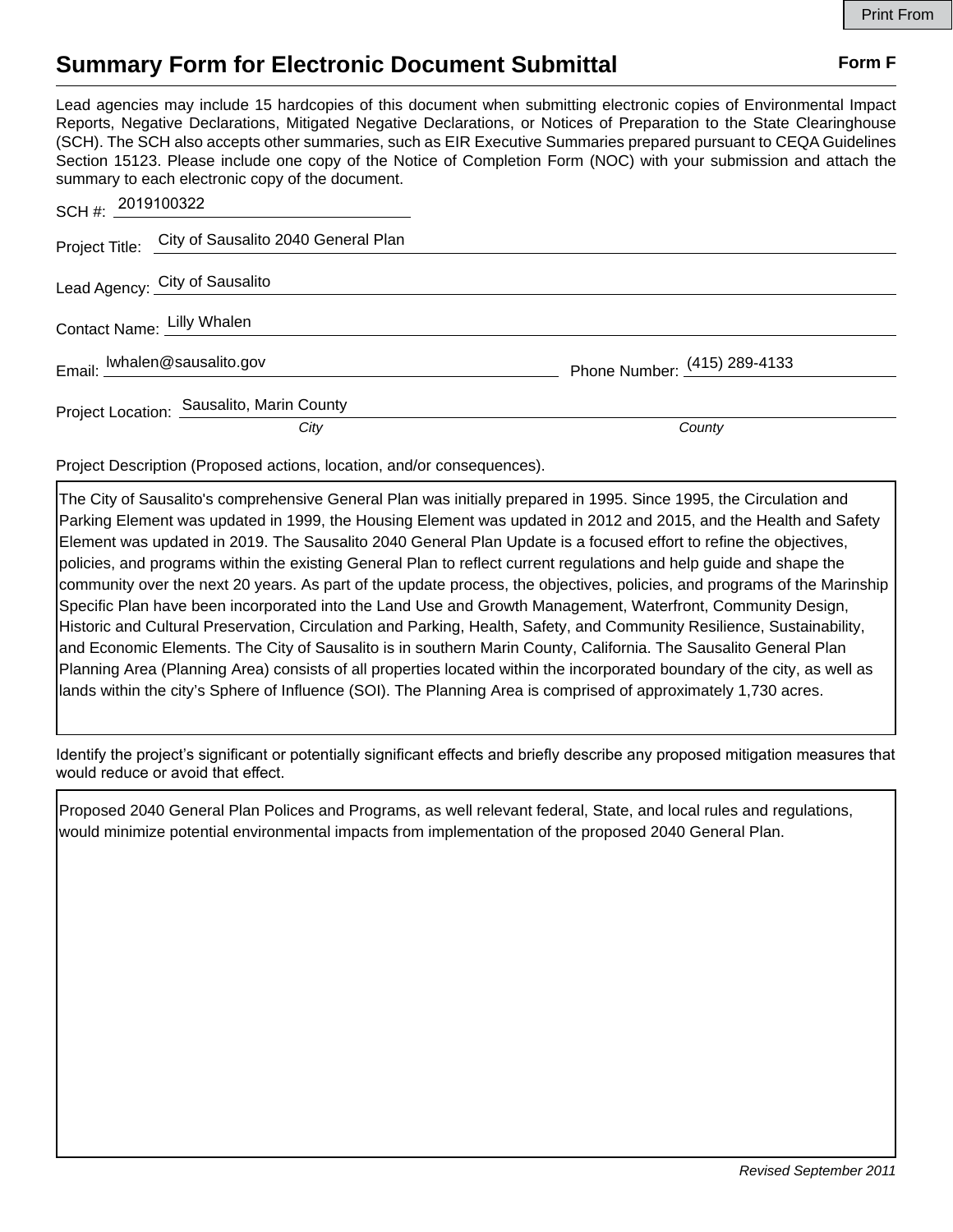## **Summary Form for Electronic Document Submittal Form F Form F**

Lead agencies may include 15 hardcopies of this document when submitting electronic copies of Environmental Impact Reports, Negative Declarations, Mitigated Negative Declarations, or Notices of Preparation to the State Clearinghouse (SCH). The SCH also accepts other summaries, such as EIR Executive Summaries prepared pursuant to CEQA Guidelines Section 15123. Please include one copy of the Notice of Completion Form (NOC) with your submission and attach the summary to each electronic copy of the document.

| SCH #: 2019100322              |                                                    |                              |
|--------------------------------|----------------------------------------------------|------------------------------|
|                                | Project Title: City of Sausalito 2040 General Plan |                              |
| Lead Agency: City of Sausalito |                                                    |                              |
| Contact Name: Lilly Whalen     |                                                    |                              |
| Email: lwhalen@sausalito.gov   |                                                    | Phone Number: (415) 289-4133 |
|                                | Project Location: Sausalito, Marin County          |                              |
|                                | City                                               | County                       |

Project Description (Proposed actions, location, and/or consequences).

The City of Sausalito's comprehensive General Plan was initially prepared in 1995. Since 1995, the Circulation and Parking Element was updated in 1999, the Housing Element was updated in 2012 and 2015, and the Health and Safety Element was updated in 2019. The Sausalito 2040 General Plan Update is a focused effort to refine the objectives, policies, and programs within the existing General Plan to reflect current regulations and help guide and shape the community over the next 20 years. As part of the update process, the objectives, policies, and programs of the Marinship Specific Plan have been incorporated into the Land Use and Growth Management, Waterfront, Community Design, Historic and Cultural Preservation, Circulation and Parking, Health, Safety, and Community Resilience, Sustainability, and Economic Elements. The City of Sausalito is in southern Marin County, California. The Sausalito General Plan Planning Area (Planning Area) consists of all properties located within the incorporated boundary of the city, as well as lands within the city's Sphere of Influence (SOI). The Planning Area is comprised of approximately 1,730 acres.

Identify the project's significant or potentially significant effects and briefly describe any proposed mitigation measures that would reduce or avoid that effect.

Proposed 2040 General Plan Polices and Programs, as well relevant federal, State, and local rules and regulations, would minimize potential environmental impacts from implementation of the proposed 2040 General Plan.